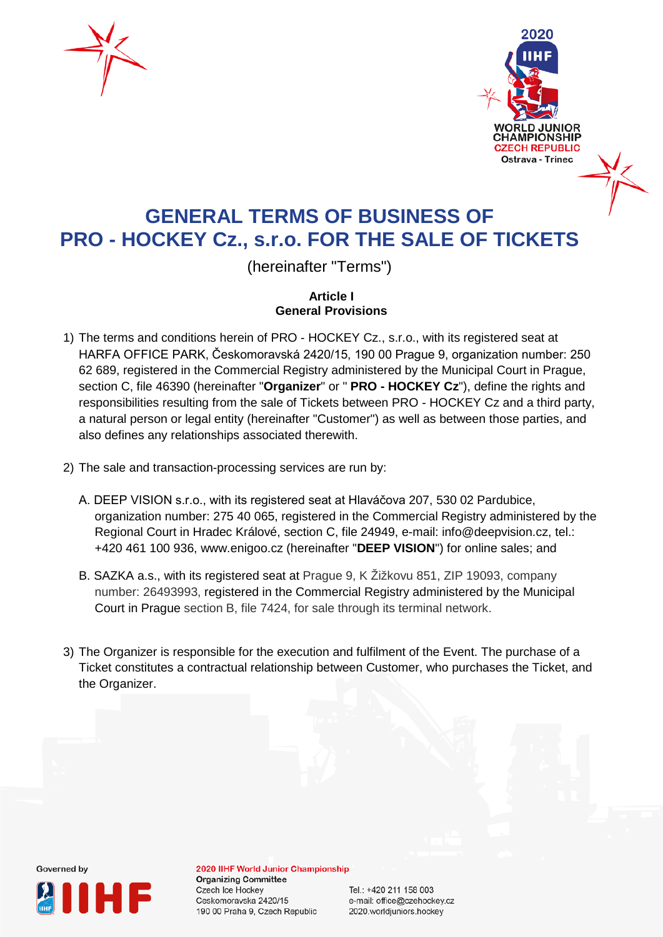



# **GENERAL TERMS OF BUSINESS OF PRO - HOCKEY Cz., s.r.o. FOR THE SALE OF TICKETS**

(hereinafter "Terms")

**Article I General Provisions**

- 1) The terms and conditions herein of PRO HOCKEY Cz., s.r.o., with its registered seat at HARFA OFFICE PARK, Českomoravská 2420/15, 190 00 Prague 9, organization number: 250 62 689, registered in the Commercial Registry administered by the Municipal Court in Prague, section C, file 46390 (hereinafter "**Organizer**" or " **PRO - HOCKEY Cz**"), define the rights and responsibilities resulting from the sale of Tickets between PRO - HOCKEY Cz and a third party, a natural person or legal entity (hereinafter "Customer") as well as between those parties, and also defines any relationships associated therewith.
- 2) The sale and transaction-processing services are run by:
	- A. DEEP VISION s.r.o., with its registered seat at Hlaváčova 207, 530 02 Pardubice, organization number: 275 40 065, registered in the Commercial Registry administered by the Regional Court in Hradec Králové, section C, file 24949, e-mail: info@deepvision.cz, tel.: +420 461 100 936, www.enigoo.cz (hereinafter "**DEEP VISION**") for online sales; and
	- B. SAZKA a.s., with its registered seat at Prague 9, K Žižkovu 851, ZIP 19093, company number: 26493993, registered in the Commercial Registry administered by the Municipal Court in Prague section B, file 7424, for sale through its terminal network.
- 3) The Organizer is responsible for the execution and fulfilment of the Event. The purchase of a Ticket constitutes a contractual relationship between Customer, who purchases the Ticket, and the Organizer.



2020 IIHF World Junior Championship **Organizing Committee** Czech Ice Hockey Ceskomoravska 2420/15 190 00 Praha 9, Czech Republic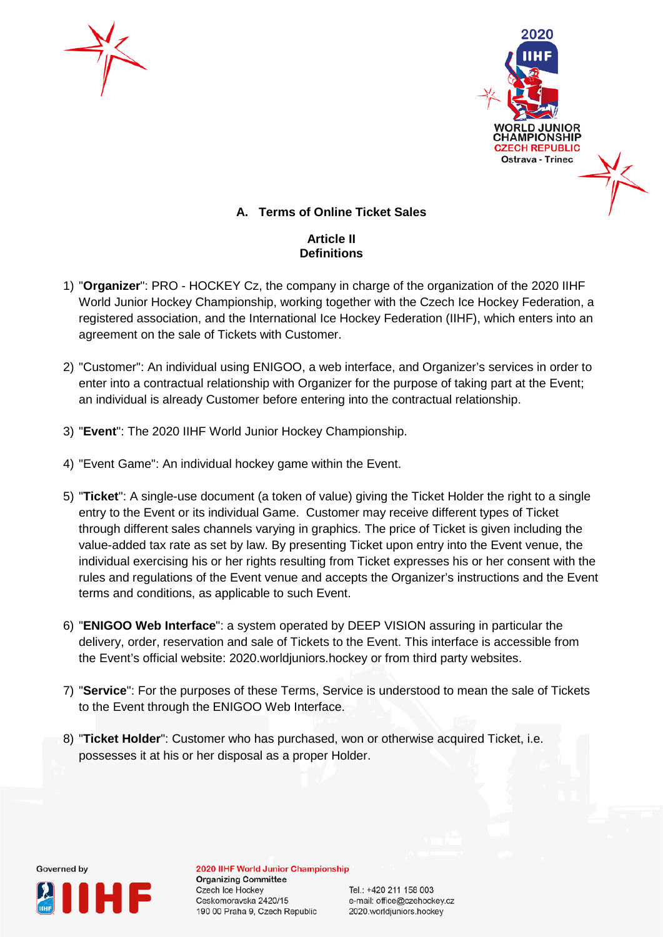



# **A. Terms of Online Ticket Sales**

### **Article II Definitions**

- 1) "**Organizer**": PRO HOCKEY Cz, the company in charge of the organization of the 2020 IIHF World Junior Hockey Championship, working together with the Czech Ice Hockey Federation, a registered association, and the International Ice Hockey Federation (IIHF), which enters into an agreement on the sale of Tickets with Customer.
- 2) "Customer": An individual using ENIGOO, a web interface, and Organizer's services in order to enter into a contractual relationship with Organizer for the purpose of taking part at the Event; an individual is already Customer before entering into the contractual relationship.
- 3) "**Event**": The 2020 IIHF World Junior Hockey Championship.
- 4) "Event Game": An individual hockey game within the Event.
- 5) "**Ticket**": A single-use document (a token of value) giving the Ticket Holder the right to a single entry to the Event or its individual Game. Customer may receive different types of Ticket through different sales channels varying in graphics. The price of Ticket is given including the value-added tax rate as set by law. By presenting Ticket upon entry into the Event venue, the individual exercising his or her rights resulting from Ticket expresses his or her consent with the rules and regulations of the Event venue and accepts the Organizer's instructions and the Event terms and conditions, as applicable to such Event.
- 6) "**ENIGOO Web Interface**": a system operated by DEEP VISION assuring in particular the delivery, order, reservation and sale of Tickets to the Event. This interface is accessible from the Event's official website: 2020.worldjuniors.hockey or from third party websites.
- 7) "**Service**": For the purposes of these Terms, Service is understood to mean the sale of Tickets to the Event through the ENIGOO Web Interface.
- 8) "**Ticket Holder**": Customer who has purchased, won or otherwise acquired Ticket, i.e. possesses it at his or her disposal as a proper Holder.



2020 IIHF World Junior Championship **Organizing Committee Czech Ice Hockey** Ceskomoravska 2420/15 190 00 Praha 9, Czech Republic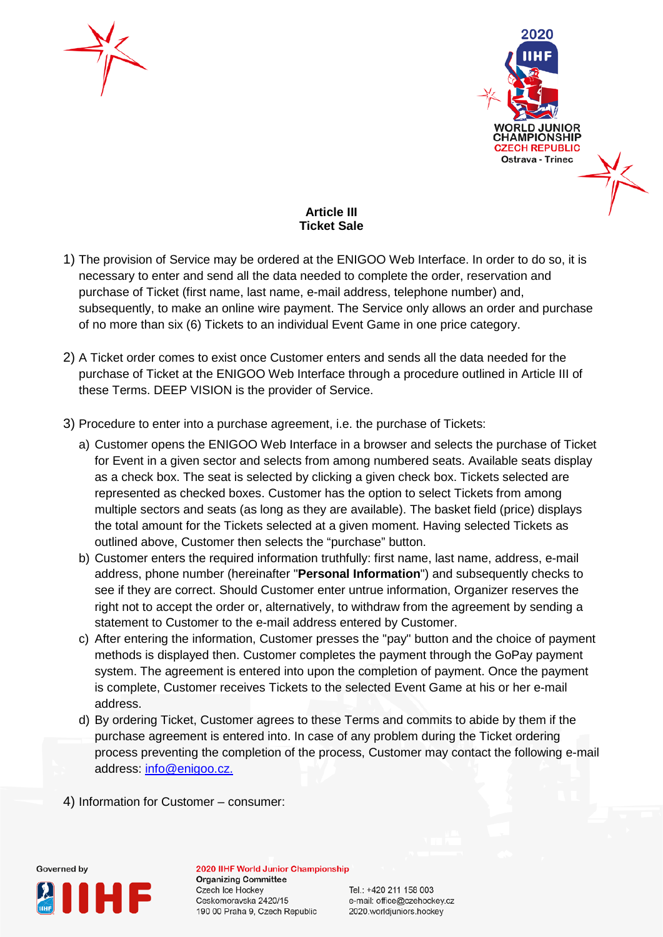



# **Article III Ticket Sale**

- 1) The provision of Service may be ordered at the ENIGOO Web Interface. In order to do so, it is necessary to enter and send all the data needed to complete the order, reservation and purchase of Ticket (first name, last name, e-mail address, telephone number) and, subsequently, to make an online wire payment. The Service only allows an order and purchase of no more than six (6) Tickets to an individual Event Game in one price category.
- 2) A Ticket order comes to exist once Customer enters and sends all the data needed for the purchase of Ticket at the ENIGOO Web Interface through a procedure outlined in Article III of these Terms. DEEP VISION is the provider of Service.
- 3) Procedure to enter into a purchase agreement, i.e. the purchase of Tickets:
	- a) Customer opens the ENIGOO Web Interface in a browser and selects the purchase of Ticket for Event in a given sector and selects from among numbered seats. Available seats display as a check box. The seat is selected by clicking a given check box. Tickets selected are represented as checked boxes. Customer has the option to select Tickets from among multiple sectors and seats (as long as they are available). The basket field (price) displays the total amount for the Tickets selected at a given moment. Having selected Tickets as outlined above, Customer then selects the "purchase" button.
	- b) Customer enters the required information truthfully: first name, last name, address, e-mail address, phone number (hereinafter "**Personal Information**") and subsequently checks to see if they are correct. Should Customer enter untrue information, Organizer reserves the right not to accept the order or, alternatively, to withdraw from the agreement by sending a statement to Customer to the e-mail address entered by Customer.
	- c) After entering the information, Customer presses the "pay" button and the choice of payment methods is displayed then. Customer completes the payment through the GoPay payment system. The agreement is entered into upon the completion of payment. Once the payment is complete, Customer receives Tickets to the selected Event Game at his or her e-mail address.
	- d) By ordering Ticket, Customer agrees to these Terms and commits to abide by them if the purchase agreement is entered into. In case of any problem during the Ticket ordering process preventing the completion of the process, Customer may contact the following e-mail address: [info@enigoo.cz.](mailto:info@enigoo.cz)
- 4) Information for Customer consumer:



2020 IIHF World Junior Championship **Organizing Committee** Czech Ice Hockey Ceskomoravska 2420/15 190 00 Praha 9, Czech Republic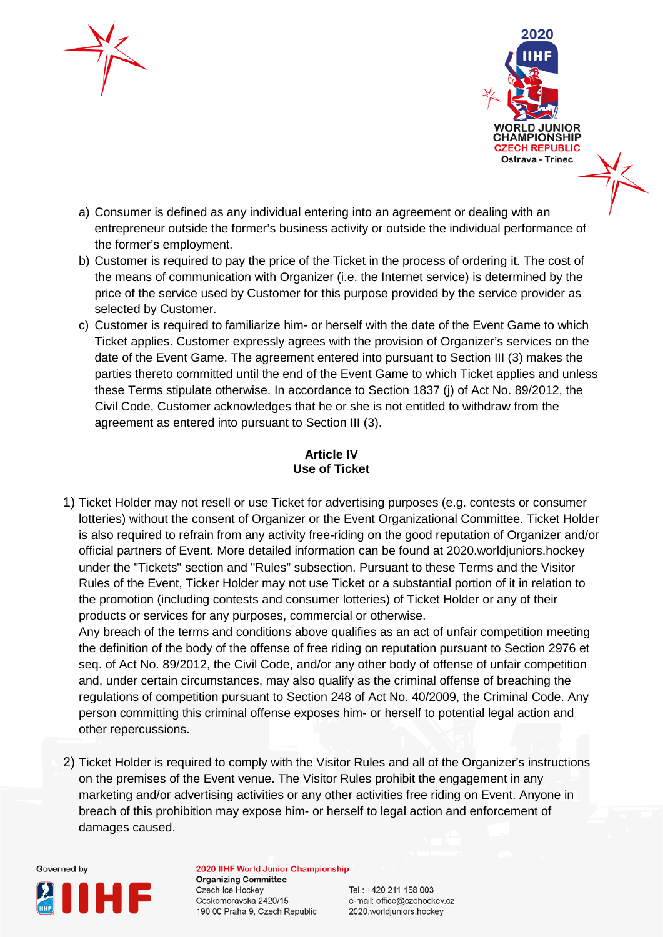



- a) Consumer is defined as any individual entering into an agreement or dealing with an entrepreneur outside the former's business activity or outside the individual performance of the former's employment.
- b) Customer is required to pay the price of the Ticket in the process of ordering it. The cost of the means of communication with Organizer (i.e. the Internet service) is determined by the price of the service used by Customer for this purpose provided by the service provider as selected by Customer.
- c) Customer is required to familiarize him- or herself with the date of the Event Game to which Ticket applies. Customer expressly agrees with the provision of Organizer's services on the date of the Event Game. The agreement entered into pursuant to Section III (3) makes the parties thereto committed until the end of the Event Game to which Ticket applies and unless these Terms stipulate otherwise. In accordance to Section 1837 (j) of Act No. 89/2012, the Civil Code, Customer acknowledges that he or she is not entitled to withdraw from the agreement as entered into pursuant to Section III (3).

# **Article IV Use of Ticket**

1) Ticket Holder may not resell or use Ticket for advertising purposes (e.g. contests or consumer lotteries) without the consent of Organizer or the Event Organizational Committee. Ticket Holder is also required to refrain from any activity free-riding on the good reputation of Organizer and/or official partners of Event. More detailed information can be found at 2020.worldjuniors.hockey under the "Tickets" section and "Rules" subsection. Pursuant to these Terms and the Visitor Rules of the Event, Ticker Holder may not use Ticket or a substantial portion of it in relation to the promotion (including contests and consumer lotteries) of Ticket Holder or any of their products or services for any purposes, commercial or otherwise.

Any breach of the terms and conditions above qualifies as an act of unfair competition meeting the definition of the body of the offense of free riding on reputation pursuant to Section 2976 et seq. of Act No. 89/2012, the Civil Code, and/or any other body of offense of unfair competition and, under certain circumstances, may also qualify as the criminal offense of breaching the regulations of competition pursuant to Section 248 of Act No. 40/2009, the Criminal Code. Any person committing this criminal offense exposes him- or herself to potential legal action and other repercussions.

2) Ticket Holder is required to comply with the Visitor Rules and all of the Organizer's instructions on the premises of the Event venue. The Visitor Rules prohibit the engagement in any marketing and/or advertising activities or any other activities free riding on Event. Anyone in breach of this prohibition may expose him- or herself to legal action and enforcement of damages caused.



2020 IIHF World Junior Championship **Organizing Committee** Czech Ice Hockey Ceskomoravska 2420/15 190 00 Praha 9, Czech Republic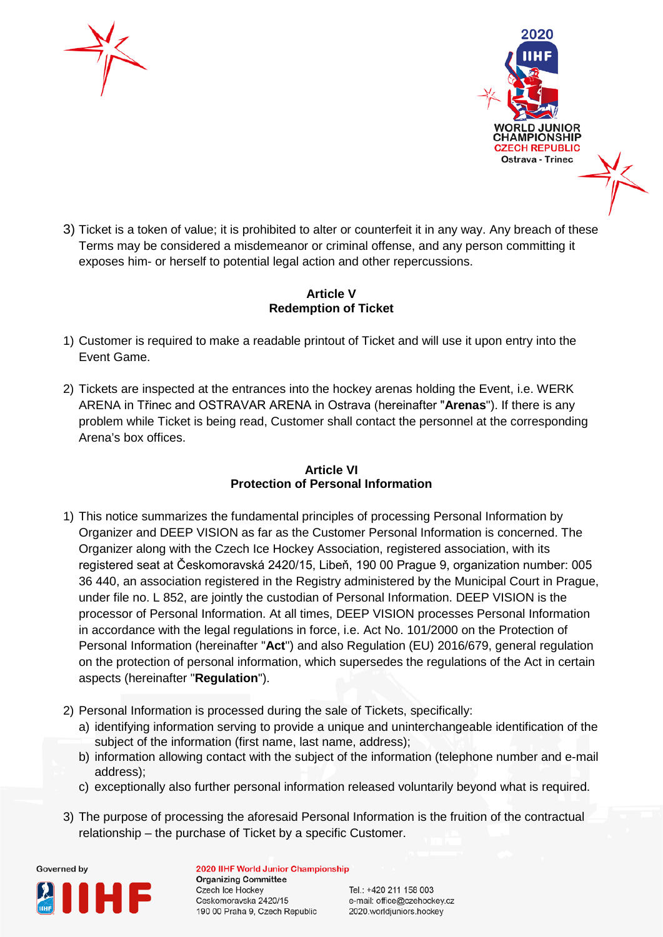



3) Ticket is a token of value; it is prohibited to alter or counterfeit it in any way. Any breach of these Terms may be considered a misdemeanor or criminal offense, and any person committing it exposes him- or herself to potential legal action and other repercussions.

#### **Article V Redemption of Ticket**

- 1) Customer is required to make a readable printout of Ticket and will use it upon entry into the Event Game.
- 2) Tickets are inspected at the entrances into the hockey arenas holding the Event, i.e. WERK ARENA in Třinec and OSTRAVAR ARENA in Ostrava (hereinafter "**Arenas**"). If there is any problem while Ticket is being read, Customer shall contact the personnel at the corresponding Arena's box offices.

# **Article VI Protection of Personal Information**

- 1) This notice summarizes the fundamental principles of processing Personal Information by Organizer and DEEP VISION as far as the Customer Personal Information is concerned. The Organizer along with the Czech Ice Hockey Association, registered association, with its registered seat at Českomoravská 2420/15, Libeň, 190 00 Prague 9, organization number: 005 36 440, an association registered in the Registry administered by the Municipal Court in Prague, under file no. L 852, are jointly the custodian of Personal Information. DEEP VISION is the processor of Personal Information. At all times, DEEP VISION processes Personal Information in accordance with the legal regulations in force, i.e. Act No. 101/2000 on the Protection of Personal Information (hereinafter "**Act**") and also Regulation (EU) 2016/679, general regulation on the protection of personal information, which supersedes the regulations of the Act in certain aspects (hereinafter "**Regulation**").
- 2) Personal Information is processed during the sale of Tickets, specifically:
	- a) identifying information serving to provide a unique and uninterchangeable identification of the subject of the information (first name, last name, address);
	- b) information allowing contact with the subject of the information (telephone number and e-mail address);
	- c) exceptionally also further personal information released voluntarily beyond what is required.
- 3) The purpose of processing the aforesaid Personal Information is the fruition of the contractual relationship – the purchase of Ticket by a specific Customer.



2020 IIHF World Junior Championship **Organizing Committee Czech Ice Hockey** Ceskomoravska 2420/15 190 00 Praha 9, Czech Republic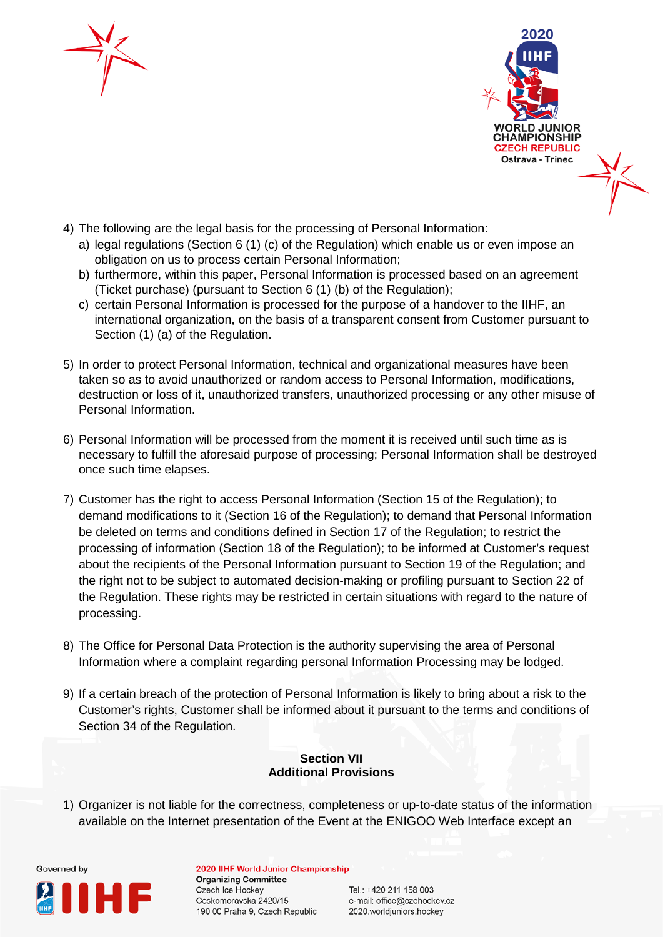



- 4) The following are the legal basis for the processing of Personal Information:
	- a) legal regulations (Section 6 (1) (c) of the Regulation) which enable us or even impose an obligation on us to process certain Personal Information;
	- b) furthermore, within this paper, Personal Information is processed based on an agreement (Ticket purchase) (pursuant to Section 6 (1) (b) of the Regulation);
	- c) certain Personal Information is processed for the purpose of a handover to the IIHF, an international organization, on the basis of a transparent consent from Customer pursuant to Section (1) (a) of the Regulation.
- 5) In order to protect Personal Information, technical and organizational measures have been taken so as to avoid unauthorized or random access to Personal Information, modifications, destruction or loss of it, unauthorized transfers, unauthorized processing or any other misuse of Personal Information.
- 6) Personal Information will be processed from the moment it is received until such time as is necessary to fulfill the aforesaid purpose of processing; Personal Information shall be destroyed once such time elapses.
- 7) Customer has the right to access Personal Information (Section 15 of the Regulation); to demand modifications to it (Section 16 of the Regulation); to demand that Personal Information be deleted on terms and conditions defined in Section 17 of the Regulation; to restrict the processing of information (Section 18 of the Regulation); to be informed at Customer's request about the recipients of the Personal Information pursuant to Section 19 of the Regulation; and the right not to be subject to automated decision-making or profiling pursuant to Section 22 of the Regulation. These rights may be restricted in certain situations with regard to the nature of processing.
- 8) The Office for Personal Data Protection is the authority supervising the area of Personal Information where a complaint regarding personal Information Processing may be lodged.
- 9) If a certain breach of the protection of Personal Information is likely to bring about a risk to the Customer's rights, Customer shall be informed about it pursuant to the terms and conditions of Section 34 of the Regulation.

# **Section VII Additional Provisions**

1) Organizer is not liable for the correctness, completeness or up-to-date status of the information available on the Internet presentation of the Event at the ENIGOO Web Interface except an



2020 IIHF World Junior Championship **Organizing Committee** Czech Ice Hockey Ceskomoravska 2420/15 190 00 Praha 9, Czech Republic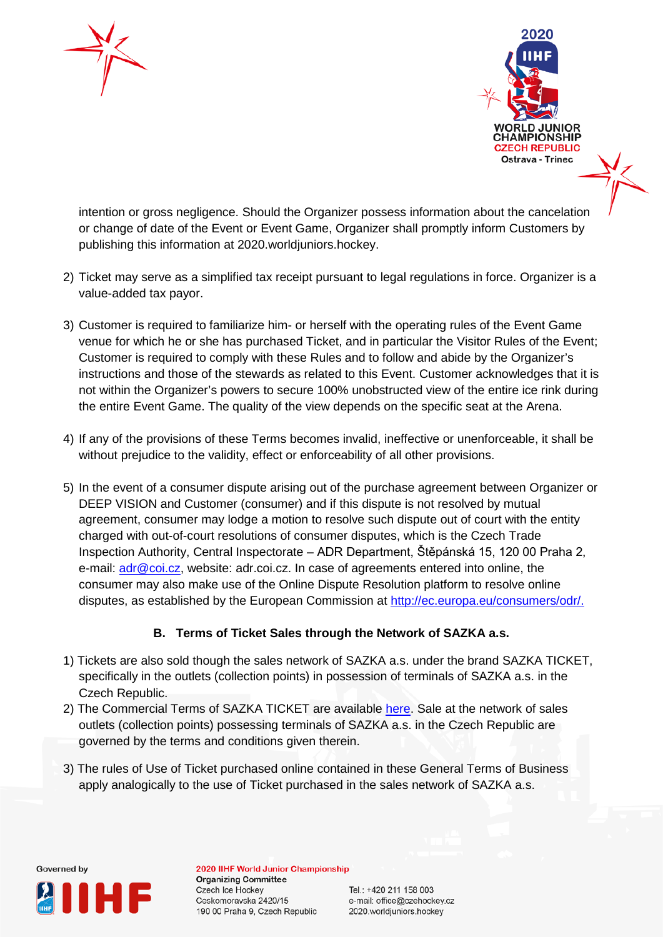



intention or gross negligence. Should the Organizer possess information about the cancelation or change of date of the Event or Event Game, Organizer shall promptly inform Customers by publishing this information at 2020.worldjuniors.hockey.

- 2) Ticket may serve as a simplified tax receipt pursuant to legal regulations in force. Organizer is a value-added tax payor.
- 3) Customer is required to familiarize him- or herself with the operating rules of the Event Game venue for which he or she has purchased Ticket, and in particular the Visitor Rules of the Event; Customer is required to comply with these Rules and to follow and abide by the Organizer's instructions and those of the stewards as related to this Event. Customer acknowledges that it is not within the Organizer's powers to secure 100% unobstructed view of the entire ice rink during the entire Event Game. The quality of the view depends on the specific seat at the Arena.
- 4) If any of the provisions of these Terms becomes invalid, ineffective or unenforceable, it shall be without prejudice to the validity, effect or enforceability of all other provisions.
- 5) In the event of a consumer dispute arising out of the purchase agreement between Organizer or DEEP VISION and Customer (consumer) and if this dispute is not resolved by mutual agreement, consumer may lodge a motion to resolve such dispute out of court with the entity charged with out-of-court resolutions of consumer disputes, which is the Czech Trade Inspection Authority, Central Inspectorate – ADR Department, Štěpánská 15, 120 00 Praha 2, e-mail: [adr@coi.cz,](mailto:adr@coi.cz) website: adr.coi.cz. In case of agreements entered into online, the consumer may also make use of the Online Dispute Resolution platform to resolve online disputes, as established by the European Commission at [http://ec.europa.eu/consumers/odr/.](http://ec.europa.eu/consumers/odr/)

# **B. Terms of Ticket Sales through the Network of SAZKA a.s.**

- 1) Tickets are also sold though the sales network of SAZKA a.s. under the brand SAZKA TICKET, specifically in the outlets (collection points) in possession of terminals of SAZKA a.s. in the Czech Republic.
- 2) The Commercial Terms of SAZKA TICKET are available [here.](https://www.sazkaticket.cz/Obchodni-podminky) Sale at the network of sales outlets (collection points) possessing terminals of SAZKA a.s. in the Czech Republic are governed by the terms and conditions given therein.
- 3) The rules of Use of Ticket purchased online contained in these General Terms of Business apply analogically to the use of Ticket purchased in the sales network of SAZKA a.s.



2020 IIHF World Junior Championship **Organizing Committee** Czech Ice Hockey Ceskomoravska 2420/15 190 00 Praha 9, Czech Republic